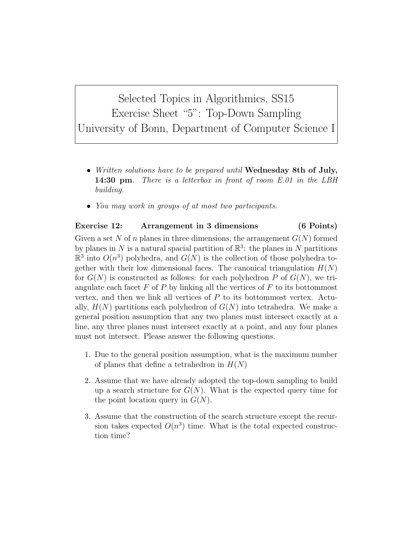Selected Topics in Algorithmics, SS15 Exercise Sheet "5": Top-Down Sampling University of Bonn, Department of Computer Science I

- Written solutions have to be prepared until Wednesday 8th of July, **14:30 pm**. There is a letterbox in front of room E.01 in the LBH building.
- You may work in groups of at most two participants.

## Exercise 12: Arrangement in 3 dimensions (6 Points)

Given a set N of n planes in three dimensions, the arrangement  $G(N)$  formed by planes in N is a natural spacial partition of  $\mathbb{R}^3$ : the planes in N partitions  $\mathbb{R}^3$  into  $O(n^3)$  polyhedra, and  $G(N)$  is the collection of those polyhedra together with their low dimensional faces. The canonical triangulation  $H(N)$ for  $G(N)$  is constructed as follows: for each polyhedron P of  $G(N)$ , we triangulate each facet  $F$  of  $P$  by linking all the vertices of  $F$  to its bottommost vertex, and then we link all vertices of  $P$  to its bottommost vertex. Actually,  $H(N)$  partitions each polyhedron of  $G(N)$  into tetrahedra. We make a general position assumption that any two planes must intersect exactly at a line, any three planes must intersect exactly at a point, and any four planes must not intersect. Please answer the following questions.

- 1. Due to the general position assumption, what is the maximum number of planes that define a tetrahedron in  $H(N)$
- 2. Assume that we have already adopted the top-down sampling to build up a search structure for  $G(N)$ . What is the expected query time for the point location query in  $G(N)$ .
- 3. Assume that the construction of the search structure except the recursion takes expected  $O(n^3)$  time. What is the total expected construction time?